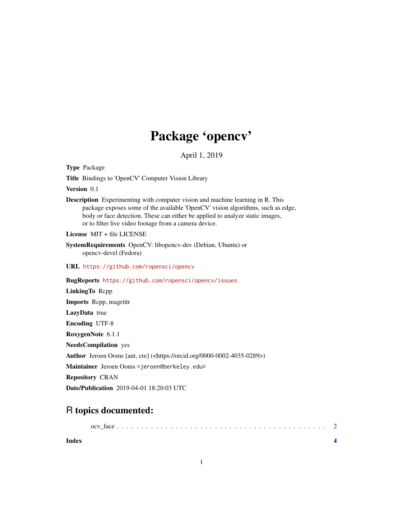## Package 'opencv'

April 1, 2019

Type Package

Title Bindings to 'OpenCV' Computer Vision Library

Version 0.1

Description Experimenting with computer vision and machine learning in R. This package exposes some of the available 'OpenCV' vision algorithms, such as edge, body or face detection. These can either be applied to analyze static images, or to filter live video footage from a camera device.

License MIT + file LICENSE

- SystemRequirements OpenCV: libopencv-dev (Debian, Ubuntu) or opencv-devel (Fedora)
- URL <https://github.com/ropensci/opencv>

BugReports <https://github.com/ropensci/opencv/issues> LinkingTo Rcpp Imports Rcpp, magrittr LazyData true Encoding UTF-8 RoxygenNote 6.1.1 NeedsCompilation yes Author Jeroen Ooms [aut, cre] (<https://orcid.org/0000-0002-4035-0289>) Maintainer Jeroen Ooms <jeroen@berkeley.edu> Repository CRAN Date/Publication 2019-04-01 18:20:03 UTC

### R topics documented:

| OCV |  |  |
|-----|--|--|
|-----|--|--|

**Index** [4](#page-3-0)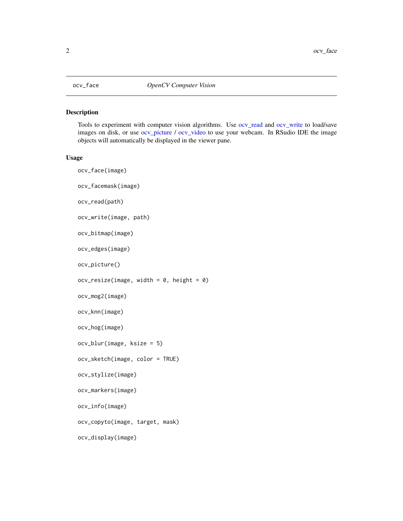<span id="page-1-0"></span>

#### <span id="page-1-1"></span>Description

Tools to experiment with computer vision algorithms. Use [ocv\\_read](#page-1-1) and [ocv\\_write](#page-1-1) to load/save images on disk, or use [ocv\\_picture](#page-1-1) / [ocv\\_video](#page-1-1) to use your webcam. In RSudio IDE the image objects will automatically be displayed in the viewer pane.

#### Usage

```
ocv_face(image)
ocv_facemask(image)
ocv_read(path)
ocv_write(image, path)
ocv_bitmap(image)
ocv_edges(image)
ocv_picture()
ocv\_resize(image, width = 0, height = 0)ocv_mog2(image)
ocv_knn(image)
ocv_hog(image)
ocv_blur(image, ksize = 5)
ocv_sketch(image, color = TRUE)
ocv_stylize(image)
ocv_markers(image)
ocv_info(image)
ocv_copyto(image, target, mask)
ocv_display(image)
```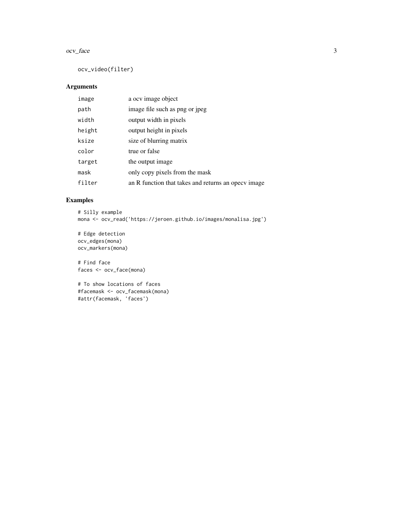#### ocv\_face 3

ocv\_video(filter)

#### Arguments

| image  | a ocv image object                                  |
|--------|-----------------------------------------------------|
| path   | image file such as png or jpeg                      |
| width  | output width in pixels                              |
| height | output height in pixels                             |
| ksize  | size of blurring matrix                             |
| color  | true or false                                       |
| target | the output image                                    |
| mask   | only copy pixels from the mask                      |
| filter | an R function that takes and returns an opecy image |

#### Examples

# Silly example mona <- ocv\_read('https://jeroen.github.io/images/monalisa.jpg')

# Edge detection ocv\_edges(mona) ocv\_markers(mona)

# Find face faces <- ocv\_face(mona)

# To show locations of faces #facemask <- ocv\_facemask(mona) #attr(facemask, 'faces')